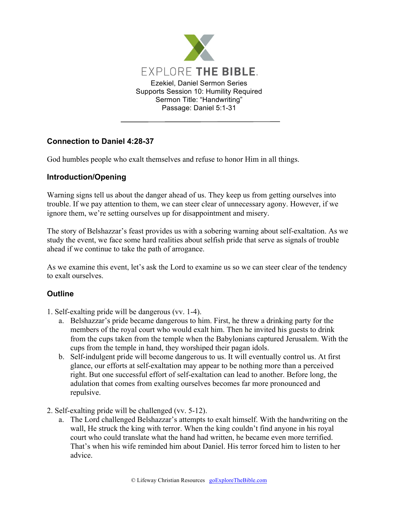

## **Connection to Daniel 4:28-37**

God humbles people who exalt themselves and refuse to honor Him in all things.

## **Introduction/Opening**

Warning signs tell us about the danger ahead of us. They keep us from getting ourselves into trouble. If we pay attention to them, we can steer clear of unnecessary agony. However, if we ignore them, we're setting ourselves up for disappointment and misery.

The story of Belshazzar's feast provides us with a sobering warning about self-exaltation. As we study the event, we face some hard realities about selfish pride that serve as signals of trouble ahead if we continue to take the path of arrogance.

As we examine this event, let's ask the Lord to examine us so we can steer clear of the tendency to exalt ourselves.

## **Outline**

- 1. Self-exalting pride will be dangerous (vv. 1-4).
	- a. Belshazzar's pride became dangerous to him. First, he threw a drinking party for the members of the royal court who would exalt him. Then he invited his guests to drink from the cups taken from the temple when the Babylonians captured Jerusalem. With the cups from the temple in hand, they worshiped their pagan idols.
	- b. Self-indulgent pride will become dangerous to us. It will eventually control us. At first glance, our efforts at self-exaltation may appear to be nothing more than a perceived right. But one successful effort of self-exaltation can lead to another. Before long, the adulation that comes from exalting ourselves becomes far more pronounced and repulsive.
- 2. Self-exalting pride will be challenged (vv. 5-12).
	- a. The Lord challenged Belshazzar's attempts to exalt himself. With the handwriting on the wall, He struck the king with terror. When the king couldn't find anyone in his royal court who could translate what the hand had written, he became even more terrified. That's when his wife reminded him about Daniel. His terror forced him to listen to her advice.